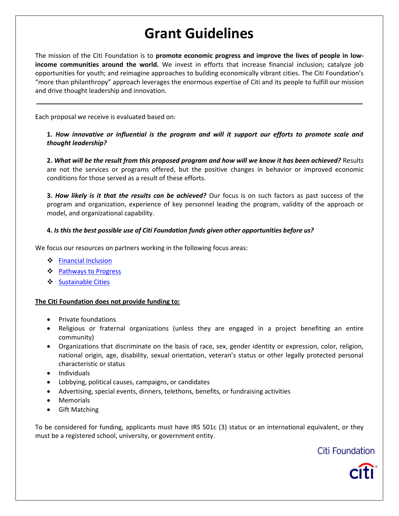# **Grant Guidelines**

The mission of the Citi Foundation is to **promote economic progress and improve the lives of people in lowincome communities around the world.** We invest in efforts that increase financial inclusion; catalyze job opportunities for youth; and reimagine approaches to building economically vibrant cities. The Citi Foundation's "more than philanthropy" approach leverages the enormous expertise of Citi and its people to fulfill our mission and drive thought leadership and innovation.

Each proposal we receive is evaluated based on:

**1.** *How innovative or influential is the program and will it support our efforts to promote scale and thought leadership?* 

**2.** *What will be the result from this proposed program and how will we know it has been achieved?* Results are not the services or programs offered, but the positive changes in behavior or improved economic conditions for those served as a result of these efforts.

**3.** *How likely is it that the results can be achieved?* Our focus is on such factors as past success of the program and organization, experience of key personnel leading the program, validity of the approach or model, and organizational capability.

#### **4.** *Is this the best possible use of Citi Foundation funds given other opportunities before us?*

We focus our resources on partners working in the following focus areas:

- [Financial Inclusion](#page-1-0)
- ❖ [Pathways to Progress](#page-3-0)
- ❖ [Sustainable Cities](#page-5-0)

#### **The Citi Foundation does not provide funding to:**

- Private foundations
- Religious or fraternal organizations (unless they are engaged in a project benefiting an entire community)
- Organizations that discriminate on the basis of race, sex, gender identity or expression, color, religion, national origin, age, disability, sexual orientation, veteran's status or other legally protected personal characteristic or status
- Individuals
- Lobbying, political causes, campaigns, or candidates
- Advertising, special events, dinners, telethons, benefits, or fundraising activities
- Memorials
- Gift Matching

To be considered for funding, applicants must have IRS 501c (3) status or an international equivalent, or they must be a registered school, university, or government entity.

## Citi Foundation

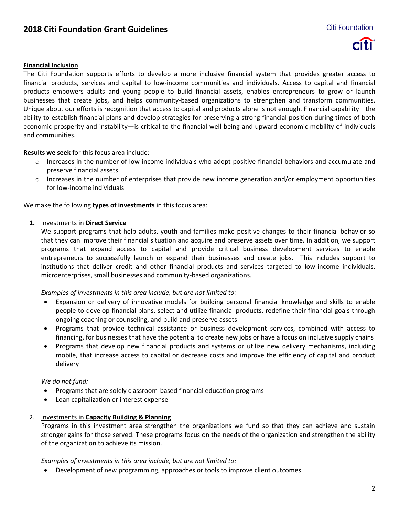## **2018 Citi Foundation Grant Guidelines**



#### <span id="page-1-0"></span>**Financial Inclusion**

The Citi Foundation supports efforts to develop a more inclusive financial system that provides greater access to financial products, services and capital to low-income communities and individuals. Access to capital and financial products empowers adults and young people to build financial assets, enables entrepreneurs to grow or launch businesses that create jobs, and helps community-based organizations to strengthen and transform communities. Unique about our efforts is recognition that access to capital and products alone is not enough. Financial capability—the ability to establish financial plans and develop strategies for preserving a strong financial position during times of both economic prosperity and instability—is critical to the financial well-being and upward economic mobility of individuals and communities.

#### **Results we seek** for this focus area include:

- o Increases in the number of low-income individuals who adopt positive financial behaviors and accumulate and preserve financial assets
- o Increases in the number of enterprises that provide new income generation and/or employment opportunities for low-income individuals

#### We make the following **types of investments** in this focus area:

#### **1.** Investments in **Direct Service**

We support programs that help adults, youth and families make positive changes to their financial behavior so that they can improve their financial situation and acquire and preserve assets over time. In addition, we support programs that expand access to capital and provide critical business development services to enable entrepreneurs to successfully launch or expand their businesses and create jobs. This includes support to institutions that deliver credit and other financial products and services targeted to low-income individuals, microenterprises, small businesses and community-based organizations.

#### *Examples of investments in this area include, but are not limited to:*

- Expansion or delivery of innovative models for building personal financial knowledge and skills to enable people to develop financial plans, select and utilize financial products, redefine their financial goals through ongoing coaching or counseling, and build and preserve assets
- Programs that provide technical assistance or business development services, combined with access to financing, for businesses that have the potential to create new jobs or have a focus on inclusive supply chains
- Programs that develop new financial products and systems or utilize new delivery mechanisms, including mobile, that increase access to capital or decrease costs and improve the efficiency of capital and product delivery

#### *We do not fund:*

- Programs that are solely classroom-based financial education programs
- Loan capitalization or interest expense

#### 2. Investments in **Capacity Building & Planning**

Programs in this investment area strengthen the organizations we fund so that they can achieve and sustain stronger gains for those served. These programs focus on the needs of the organization and strengthen the ability of the organization to achieve its mission.

*Examples of investments in this area include, but are not limited to:*

Development of new programming, approaches or tools to improve client outcomes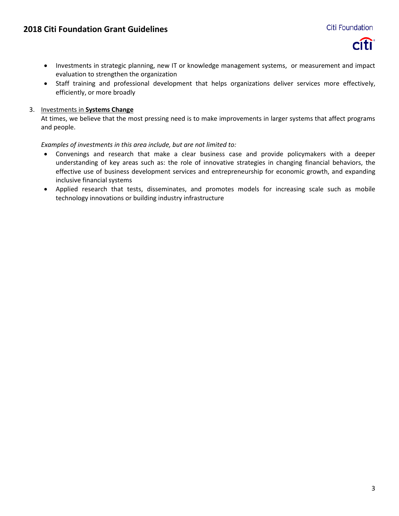

- Investments in strategic planning, new IT or knowledge management systems, or measurement and impact evaluation to strengthen the organization
- Staff training and professional development that helps organizations deliver services more effectively, efficiently, or more broadly

#### 3. Investments in **Systems Change**

At times, we believe that the most pressing need is to make improvements in larger systems that affect programs and people.

*Examples of investments in this area include, but are not limited to:*

- Convenings and research that make a clear business case and provide policymakers with a deeper understanding of key areas such as: the role of innovative strategies in changing financial behaviors, the effective use of business development services and entrepreneurship for economic growth, and expanding inclusive financial systems
- Applied research that tests, disseminates, and promotes models for increasing scale such as mobile technology innovations or building industry infrastructure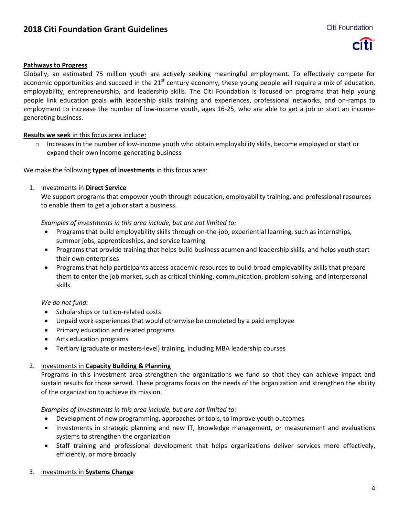

#### <span id="page-3-0"></span>**Pathways to Progress**

Globally, an estimated 75 million youth are actively seeking meaningful employment. To effectively compete for economic opportunities and succeed in the  $21^{st}$  century economy, these young people will require a mix of education, employability, entrepreneurship, and leadership skills. The Citi Foundation is focused on programs that help young people link education goals with leadership skills training and experiences, professional networks, and on-ramps to employment to increase the number of low-income youth, ages 16-25, who are able to get a job or start an incomegenerating business.

#### **Results we seek** in this focus area include:

 $\circ$  Increases in the number of low-income youth who obtain employability skills, become employed or start or expand their own income-generating business

We make the following **types of investments** in this focus area:

#### 1. Investments in **Direct Service**

We support programs that empower youth through education, employability training, and professional resources to enable them to get a job or start a business.

*Examples of investments in this area include, but are not limited to:*

- Programs that build employability skills through on-the-job, experiential learning, such as internships, summer jobs, apprenticeships, and service learning
- Programs that provide training that helps build business acumen and leadership skills, and helps youth start their own enterprises
- Programs that help participants access academic resources to build broad employability skills that prepare them to enter the job market, such as critical thinking, communication, problem-solving, and interpersonal skills.

#### *We do not fund:*

- Scholarships or tuition-related costs
- Unpaid work experiences that would otherwise be completed by a paid employee
- Primary education and related programs
- Arts education programs
- Tertiary (graduate or masters-level) training, including MBA leadership courses

#### 2. Investments in **Capacity Building & Planning**

Programs in this investment area strengthen the organizations we fund so that they can achieve impact and sustain results for those served. These programs focus on the needs of the organization and strengthen the ability of the organization to achieve its mission.

#### *Examples of investments in this area include, but are not limited to:*

- Development of new programming, approaches or tools, to improve youth outcomes
- Investments in strategic planning and new IT, knowledge management, or measurement and evaluations systems to strengthen the organization
- Staff training and professional development that helps organizations deliver services more effectively, efficiently, or more broadly

#### 3. Investments in **Systems Change**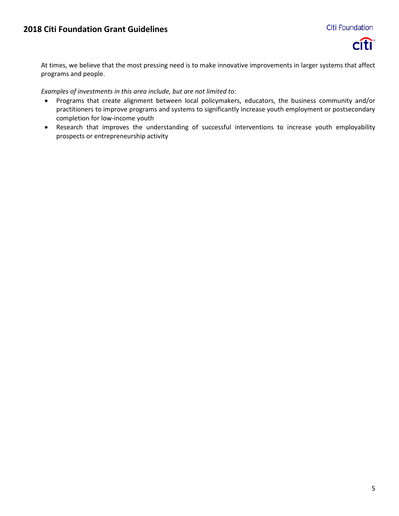

At times, we believe that the most pressing need is to make innovative improvements in larger systems that affect programs and people.

*Examples of investments in this area include, but are not limited to:*

- Programs that create alignment between local policymakers, educators, the business community and/or practitioners to improve programs and systems to significantly increase youth employment or postsecondary completion for low-income youth
- Research that improves the understanding of successful interventions to increase youth employability prospects or entrepreneurship activity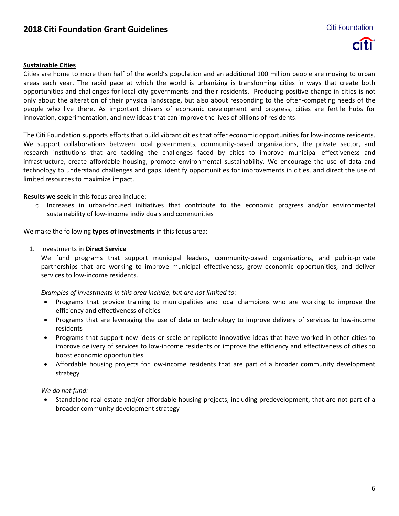## **2018 Citi Foundation Grant Guidelines**



#### <span id="page-5-0"></span>**Sustainable Cities**

Cities are home to more than half of the world's population and an additional 100 million people are moving to urban areas each year. The rapid pace at which the world is urbanizing is transforming cities in ways that create both opportunities and challenges for local city governments and their residents. Producing positive change in cities is not only about the alteration of their physical landscape, but also about responding to the often-competing needs of the people who live there. As important drivers of economic development and progress, cities are fertile hubs for innovation, experimentation, and new ideas that can improve the lives of billions of residents.

The Citi Foundation supports efforts that build vibrant cities that offer economic opportunities for low-income residents. We support collaborations between local governments, community-based organizations, the private sector, and research institutions that are tackling the challenges faced by cities to improve municipal effectiveness and infrastructure, create affordable housing, promote environmental sustainability. We encourage the use of data and technology to understand challenges and gaps, identify opportunities for improvements in cities, and direct the use of limited resources to maximize impact.

#### **Results we seek** in this focus area include:

o Increases in urban-focused initiatives that contribute to the economic progress and/or environmental sustainability of low-income individuals and communities

We make the following **types of investments** in this focus area:

#### 1. Investments in **Direct Service**

We fund programs that support municipal leaders, community-based organizations, and public-private partnerships that are working to improve municipal effectiveness, grow economic opportunities, and deliver services to low-income residents.

*Examples of investments in this area include, but are not limited to:*

- Programs that provide training to municipalities and local champions who are working to improve the efficiency and effectiveness of cities
- Programs that are leveraging the use of data or technology to improve delivery of services to low-income residents
- Programs that support new ideas or scale or replicate innovative ideas that have worked in other cities to improve delivery of services to low-income residents or improve the efficiency and effectiveness of cities to boost economic opportunities
- Affordable housing projects for low-income residents that are part of a broader community development strategy

#### *We do not fund:*

 Standalone real estate and/or affordable housing projects, including predevelopment, that are not part of a broader community development strategy